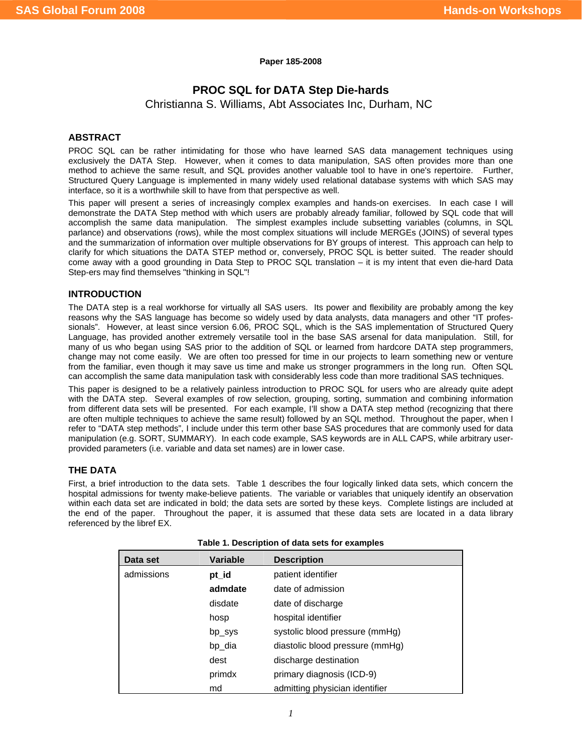**Paper 185-2008** 

# **PROC SQL for DATA Step Die-hards**

Christianna S. Williams, Abt Associates Inc, Durham, NC

# **ABSTRACT**

PROC SQL can be rather intimidating for those who have learned SAS data management techniques using exclusively the DATA Step. However, when it comes to data manipulation, SAS often provides more than one method to achieve the same result, and SQL provides another valuable tool to have in one's repertoire. Further, Structured Query Language is implemented in many widely used relational database systems with which SAS may interface, so it is a worthwhile skill to have from that perspective as well.

This paper will present a series of increasingly complex examples and hands-on exercises. In each case I will demonstrate the DATA Step method with which users are probably already familiar, followed by SQL code that will accomplish the same data manipulation. The simplest examples include subsetting variables (columns, in SQL parlance) and observations (rows), while the most complex situations will include MERGEs (JOINS) of several types and the summarization of information over multiple observations for BY groups of interest. This approach can help to clarify for which situations the DATA STEP method or, conversely, PROC SQL is better suited. The reader should come away with a good grounding in Data Step to PROC SQL translation – it is my intent that even die-hard Data Step-ers may find themselves "thinking in SQL"!

## **INTRODUCTION**

The DATA step is a real workhorse for virtually all SAS users. Its power and flexibility are probably among the key reasons why the SAS language has become so widely used by data analysts, data managers and other "IT professionals". However, at least since version 6.06, PROC SQL, which is the SAS implementation of Structured Query Language, has provided another extremely versatile tool in the base SAS arsenal for data manipulation. Still, for many of us who began using SAS prior to the addition of SQL or learned from hardcore DATA step programmers, change may not come easily. We are often too pressed for time in our projects to learn something new or venture from the familiar, even though it may save us time and make us stronger programmers in the long run. Often SQL can accomplish the same data manipulation task with considerably less code than more traditional SAS techniques.

This paper is designed to be a relatively painless introduction to PROC SQL for users who are already quite adept with the DATA step. Several examples of row selection, grouping, sorting, summation and combining information from different data sets will be presented. For each example, I'll show a DATA step method (recognizing that there are often multiple techniques to achieve the same result) followed by an SQL method. Throughout the paper, when I refer to "DATA step methods", I include under this term other base SAS procedures that are commonly used for data manipulation (e.g. SORT, SUMMARY). In each code example, SAS keywords are in ALL CAPS, while arbitrary userprovided parameters (i.e. variable and data set names) are in lower case.

# **THE DATA**

First, a brief introduction to the data sets. Table 1 describes the four logically linked data sets, which concern the hospital admissions for twenty make-believe patients. The variable or variables that uniquely identify an observation within each data set are indicated in bold; the data sets are sorted by these keys. Complete listings are included at the end of the paper. Throughout the paper, it is assumed that these data sets are located in a data library referenced by the libref EX.

| Data set   | <b>Variable</b> | <b>Description</b>              |
|------------|-----------------|---------------------------------|
| admissions | pt_id           | patient identifier              |
|            | admdate         | date of admission               |
|            | disdate         | date of discharge               |
|            | hosp            | hospital identifier             |
|            | bp_sys          | systolic blood pressure (mmHg)  |
|            | bp_dia          | diastolic blood pressure (mmHg) |
|            | dest            | discharge destination           |
|            | primdx          | primary diagnosis (ICD-9)       |
|            | md              | admitting physician identifier  |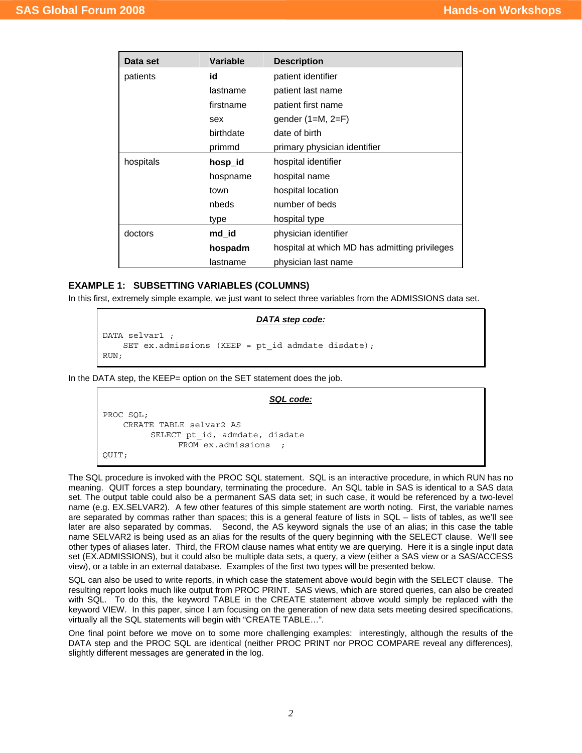| Data set         | <b>Variable</b> | <b>Description</b>                            |  |  |  |  |
|------------------|-----------------|-----------------------------------------------|--|--|--|--|
| patients         | id              | patient identifier                            |  |  |  |  |
|                  | lastname        | patient last name                             |  |  |  |  |
|                  | firstname       | patient first name                            |  |  |  |  |
|                  | sex             | gender $(1=M, 2=F)$                           |  |  |  |  |
|                  | birthdate       | date of birth                                 |  |  |  |  |
|                  | primmd          | primary physician identifier                  |  |  |  |  |
| hospitals        | hosp_id         | hospital identifier                           |  |  |  |  |
|                  | hospname        | hospital name                                 |  |  |  |  |
|                  | town            | hospital location                             |  |  |  |  |
|                  | nbeds           | number of beds                                |  |  |  |  |
|                  | type            | hospital type                                 |  |  |  |  |
| doctors<br>md id |                 | physician identifier                          |  |  |  |  |
|                  | hospadm         | hospital at which MD has admitting privileges |  |  |  |  |
|                  | lastname        | physician last name                           |  |  |  |  |

## **EXAMPLE 1: SUBSETTING VARIABLES (COLUMNS)**

In this first, extremely simple example, we just want to select three variables from the ADMISSIONS data set.

### *DATA step code:*

```
DATA selvar1 ; 
    SET ex.admissions (KEEP = pt id admdate disdate);
RUN;
```
In the DATA step, the KEEP= option on the SET statement does the job.

```
SQL code:
PROC SQL; 
     CREATE TABLE selvar2 AS 
           SELECT pt_id, admdate, disdate 
                 FROM ex.admissions ; 
QUIT;
```
The SQL procedure is invoked with the PROC SQL statement. SQL is an interactive procedure, in which RUN has no meaning. QUIT forces a step boundary, terminating the procedure. An SQL table in SAS is identical to a SAS data set. The output table could also be a permanent SAS data set; in such case, it would be referenced by a two-level name (e.g. EX.SELVAR2). A few other features of this simple statement are worth noting. First, the variable names are separated by commas rather than spaces; this is a general feature of lists in SQL – lists of tables, as we'll see later are also separated by commas. Second, the AS keyword signals the use of an alias; in this case the table name SELVAR2 is being used as an alias for the results of the query beginning with the SELECT clause. We'll see other types of aliases later. Third, the FROM clause names what entity we are querying. Here it is a single input data set (EX.ADMISSIONS), but it could also be multiple data sets, a query, a view (either a SAS view or a SAS/ACCESS view), or a table in an external database. Examples of the first two types will be presented below.

SQL can also be used to write reports, in which case the statement above would begin with the SELECT clause. The resulting report looks much like output from PROC PRINT. SAS views, which are stored queries, can also be created with SQL. To do this, the keyword TABLE in the CREATE statement above would simply be replaced with the keyword VIEW. In this paper, since I am focusing on the generation of new data sets meeting desired specifications, virtually all the SQL statements will begin with "CREATE TABLE…".

One final point before we move on to some more challenging examples: interestingly, although the results of the DATA step and the PROC SQL are identical (neither PROC PRINT nor PROC COMPARE reveal any differences), slightly different messages are generated in the log.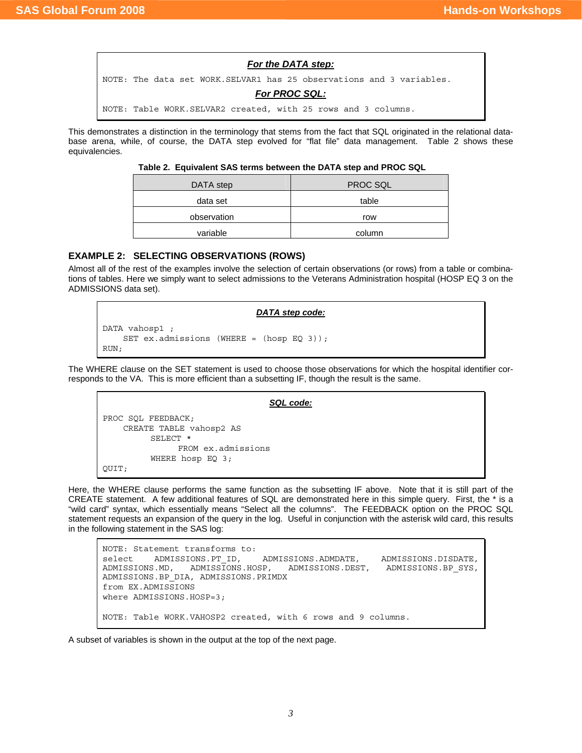

## *For PROC SQL:*

NOTE: Table WORK.SELVAR2 created, with 25 rows and 3 columns.

This demonstrates a distinction in the terminology that stems from the fact that SQL originated in the relational database arena, while, of course, the DATA step evolved for "flat file" data management. Table 2 shows these equivalencies.

#### **Table 2. Equivalent SAS terms between the DATA step and PROC SQL**

| DATA step   | PROC SQL |  |  |
|-------------|----------|--|--|
| data set    | table    |  |  |
| observation | row      |  |  |
| variable    | column   |  |  |

# **EXAMPLE 2: SELECTING OBSERVATIONS (ROWS)**

Almost all of the rest of the examples involve the selection of certain observations (or rows) from a table or combinations of tables. Here we simply want to select admissions to the Veterans Administration hospital (HOSP EQ 3 on the ADMISSIONS data set).

#### *DATA step code:*

```
DATA vahosp1 ; 
     SET ex.admissions (WHERE = (hosp EQ 3)); 
RIIN:
```
The WHERE clause on the SET statement is used to choose those observations for which the hospital identifier corresponds to the VA. This is more efficient than a subsetting IF, though the result is the same.

```
SQL code:
PROC SQL FEEDBACK; 
     CREATE TABLE vahosp2 AS 
           SELECT * 
                 FROM ex.admissions 
           WHERE hosp EQ 3; 
QUIT;
```
Here, the WHERE clause performs the same function as the subsetting IF above. Note that it is still part of the CREATE statement. A few additional features of SQL are demonstrated here in this simple query. First, the \* is a "wild card" syntax, which essentially means "Select all the columns". The FEEDBACK option on the PROC SQL statement requests an expansion of the query in the log. Useful in conjunction with the asterisk wild card, this results in the following statement in the SAS log:

```
NOTE: Statement transforms to: 
select ADMISSIONS.PT_ID, ADMISSIONS.ADMDATE, ADMISSIONS.DISDATE,
ADMISSIONS.MD, ADMISSIONS.HOSP, ADMISSIONS.DEST, ADMISSIONS.BP_SYS, 
ADMISSIONS.BP_DIA, ADMISSIONS.PRIMDX 
from EX.ADMISSIONS 
where ADMISSIONS.HOSP=3; 
NOTE: Table WORK.VAHOSP2 created, with 6 rows and 9 columns.
```
A subset of variables is shown in the output at the top of the next page.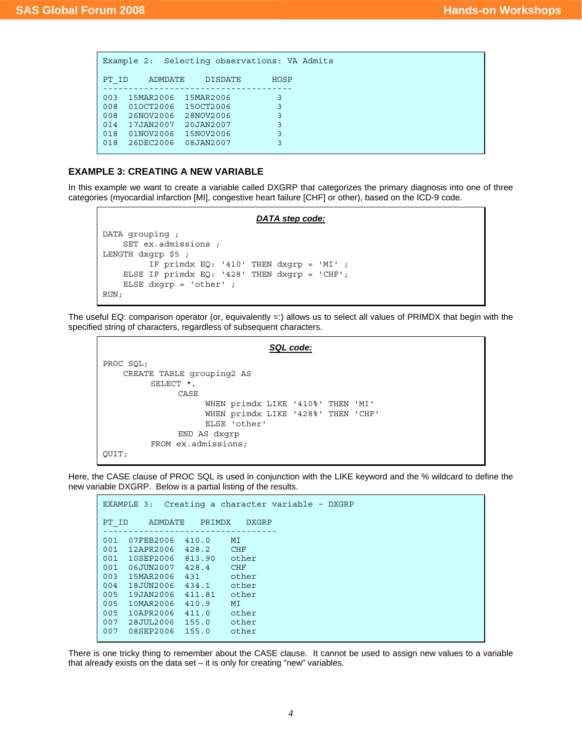| Example 2: Selecting observations: VA Admits |           |                |      |  |  |  |  |
|----------------------------------------------|-----------|----------------|------|--|--|--|--|
| PT ID                                        | ADMDATE   | <b>DISDATE</b> | HOSP |  |  |  |  |
| 003                                          | 15MAR2006 | 15MAR2006      | 3    |  |  |  |  |
| 008                                          | 010CT2006 | 150CT2006      | 3    |  |  |  |  |
| 008                                          | 26NOV2006 | 28NOV2006      | 3    |  |  |  |  |
| 014                                          | 17JAN2007 | 20JAN2007      | 3    |  |  |  |  |
| 018                                          | 01NOV2006 | 15NOV2006      | 3    |  |  |  |  |
| 018                                          | 26DEC2006 | 08JAN2007      | ς    |  |  |  |  |
|                                              |           |                |      |  |  |  |  |

#### **EXAMPLE 3: CREATING A NEW VARIABLE**

In this example we want to create a variable called DXGRP that categorizes the primary diagnosis into one of three categories (myocardial infarction [MI], congestive heart failure [CHF] or other), based on the ICD-9 code.

#### *DATA step code:*

```
DATA grouping ; 
     SET ex.admissions ; 
LENGTH dxgrp $5 ; 
          IF primdx EQ: '410' THEN dxgrp = 'MI' ; 
     ELSE IF primdx EQ: '428' THEN dxgrp = 'CHF'; 
     ELSE dxgrp = 'other' ; 
RUN;
```
The useful EQ: comparison operator (or, equivalently =:) allows us to select all values of PRIMDX that begin with the specified string of characters, regardless of subsequent characters.

```
SQL code:
PROC SQL; 
     CREATE TABLE grouping2 AS 
           SELECT *, 
                 CASE 
                       WHEN primdx LIKE '410%' THEN 'MI' 
                       WHEN primdx LIKE '428%' THEN 'CHF' 
                       ELSE 'other' 
                 END AS dxgrp 
           FROM ex.admissions; 
QUIT;
```
Here, the CASE clause of PROC SQL is used in conjunction with the LIKE keyword and the % wildcard to define the new variable DXGRP. Below is a partial listing of the results.

```
EXAMPLE 3: Creating a character variable – DXGRP 
PT_ID ADMDATE PRIMDX DXGRP
---------------------------------- 
001 07FEB2006 410.0 MI 
001 12APR2006 428.2 CHF 
001 10SEP2006 813.90 other 
001 06JUN2007 428.4 CHF 
003 15MAR2006 431 other 
004 18JUN2006 434.1 other 
005 19JAN2006 411.81 other 
005 10MAR2006 410.9 MI 
005 10APR2006 411.0 other 
007  28JUL2006  155.0  other<br>007  08SEP2006  155.0  other
007 08SEP2006
```
There is one tricky thing to remember about the CASE clause. It cannot be used to assign new values to a variable that already exists on the data set  $-$  it is only for creating "new" variables.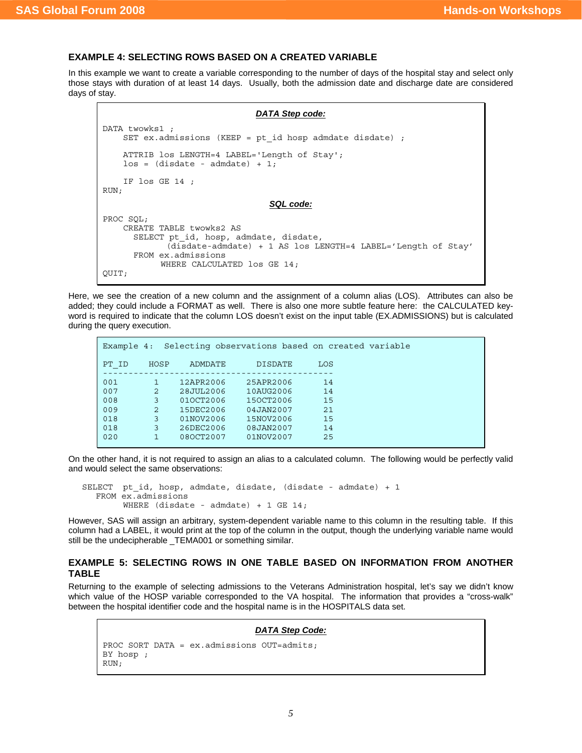## **EXAMPLE 4: SELECTING ROWS BASED ON A CREATED VARIABLE**

In this example we want to create a variable corresponding to the number of days of the hospital stay and select only those stays with duration of at least 14 days. Usually, both the admission date and discharge date are considered days of stay.

```
DATA Step code:
DATA twowks1 ; 
    SET ex. admissions (KEEP = pt id hosp admdate disdate) ;
     ATTRIB los LENGTH=4 LABEL='Length of Stay'; 
    \log = (\text{distance} - \text{admdate}) + 1; IF los GE 14 ; 
RUN; 
                                    SQL code:
PROC SQL; 
     CREATE TABLE twowks2 AS 
      SELECT pt id, hosp, admdate, disdate,
               (disdate-admdate) + 1 AS los LENGTH=4 LABEL='Length of Stay' 
       FROM ex.admissions 
             WHERE CALCULATED los GE 14; 
QUIT;
```
Here, we see the creation of a new column and the assignment of a column alias (LOS). Attributes can also be added; they could include a FORMAT as well. There is also one more subtle feature here: the CALCULATED keyword is required to indicate that the column LOS doesn't exist on the input table (EX.ADMISSIONS) but is calculated during the query execution.

| Example 4: |      |           | Selecting observations based on created variable |     |  |
|------------|------|-----------|--------------------------------------------------|-----|--|
| PT ID      | HOSP | ADMDATE   | <b>DISDATE</b>                                   | LOS |  |
| 001        |      | 12APR2006 | 25APR2006                                        | 14  |  |
| 007        | 2    | 28JUL2006 | 10AUG2006                                        | 14  |  |
| 008        | 3    | 010CT2006 | 150CT2006                                        | 15  |  |
| 009        | 2    | 15DEC2006 | 04JAN2007                                        | 21  |  |
| 018        | 3    | 01NOV2006 | 15NOV2006                                        | 15  |  |
| 018        | 3    | 26DEC2006 | 08JAN2007                                        | 14  |  |
| 020        |      | 080CT2007 | 01NOV2007                                        | 25  |  |

On the other hand, it is not required to assign an alias to a calculated column. The following would be perfectly valid and would select the same observations:

SELECT pt\_id, hosp, admdate, disdate, (disdate - admdate) + 1 FROM ex.admissions WHERE (disdate - admdate) +  $1$  GE  $14$ ;

However, SAS will assign an arbitrary, system-dependent variable name to this column in the resulting table. If this column had a LABEL, it would print at the top of the column in the output, though the underlying variable name would still be the undecipherable \_TEMA001 or something similar.

## **EXAMPLE 5: SELECTING ROWS IN ONE TABLE BASED ON INFORMATION FROM ANOTHER TABLE**

Returning to the example of selecting admissions to the Veterans Administration hospital, let's say we didn't know which value of the HOSP variable corresponded to the VA hospital. The information that provides a "cross-walk" between the hospital identifier code and the hospital name is in the HOSPITALS data set.

```
DATA Step Code:
PROC SORT DATA = ex.admissions OUT=admits; 
BY hosp ; 
RUN;
```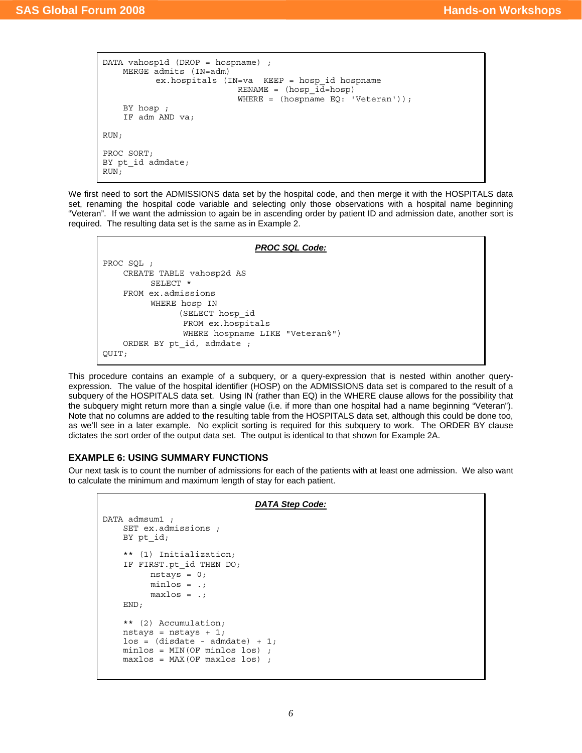```
DATA vahosp1d (DROP = hospname) ; 
     MERGE admits (IN=adm) 
            ex.hospitals (IN=va KEEP = hosp_id hospname 
                             RENAME = (hosp_id=hosp) 
                            WHERE = (hospname EQ: 'Vectoran');
     BY hosp ; 
     IF adm AND va; 
RUN; 
PROC SORT; 
BY pt id admdate;
RUN;
```
We first need to sort the ADMISSIONS data set by the hospital code, and then merge it with the HOSPITALS data set, renaming the hospital code variable and selecting only those observations with a hospital name beginning "Veteran". If we want the admission to again be in ascending order by patient ID and admission date, another sort is required. The resulting data set is the same as in Example 2.

```
PROC SQL Code:
PROC SQL ; 
     CREATE TABLE vahosp2d AS 
           SELECT * 
     FROM ex.admissions 
           WHERE hosp IN 
                 (SELECT hosp_id 
                  FROM ex.hospitals 
                  WHERE hospname LIKE "Veteran%") 
     ORDER BY pt_id, admdate ; 
QUIT;
```
This procedure contains an example of a subquery, or a query-expression that is nested within another queryexpression. The value of the hospital identifier (HOSP) on the ADMISSIONS data set is compared to the result of a subquery of the HOSPITALS data set. Using IN (rather than EQ) in the WHERE clause allows for the possibility that the subquery might return more than a single value (i.e. if more than one hospital had a name beginning "Veteran"). Note that no columns are added to the resulting table from the HOSPITALS data set, although this could be done too, as we'll see in a later example. No explicit sorting is required for this subquery to work. The ORDER BY clause dictates the sort order of the output data set. The output is identical to that shown for Example 2A.

## **EXAMPLE 6: USING SUMMARY FUNCTIONS**

Our next task is to count the number of admissions for each of the patients with at least one admission. We also want to calculate the minimum and maximum length of stay for each patient.

```
DATA Step Code:
DATA admsum1 ;
     SET ex.admissions ; 
    BY pt_id;
     ** (1) Initialization; 
    IF FIRST.pt id THEN DO;
          nstays = 0; minlos = .; 
          maxlos = .; END; 
     ** (2) Accumulation; 
     nstays = nstays + 1; 
    \log = (disdate - admdate) + 1;
     minlos = MIN(OF minlos los) ; 
     maxlos = MAX(OF maxlos los) ;
```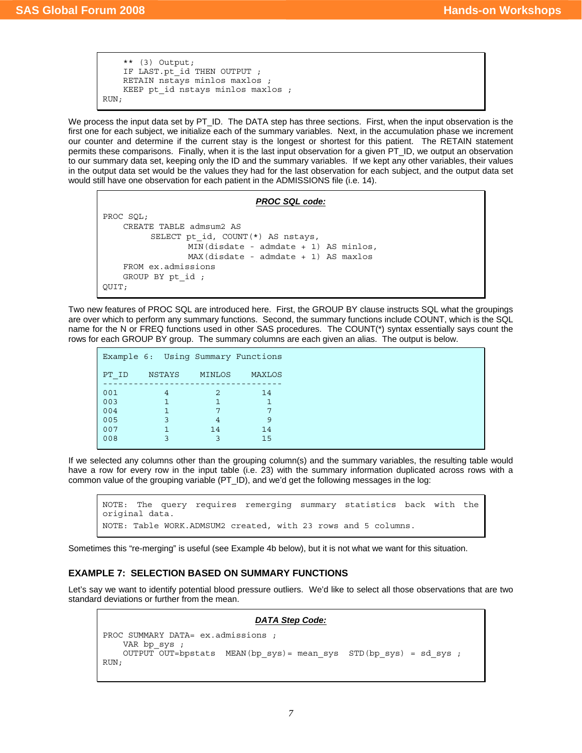```
 ** (3) Output; 
    IF LAST.pt id THEN OUTPUT ;
     RETAIN nstays minlos maxlos ; 
     KEEP pt_id nstays minlos maxlos ; 
RUN;
```
We process the input data set by PT\_ID. The DATA step has three sections. First, when the input observation is the first one for each subject, we initialize each of the summary variables. Next, in the accumulation phase we increment our counter and determine if the current stay is the longest or shortest for this patient. The RETAIN statement permits these comparisons. Finally, when it is the last input observation for a given PT\_ID, we output an observation to our summary data set, keeping only the ID and the summary variables. If we kept any other variables, their values in the output data set would be the values they had for the last observation for each subject, and the output data set would still have one observation for each patient in the ADMISSIONS file (i.e. 14).

#### *PROC SQL code:*

```
PROC SQL; 
     CREATE TABLE admsum2 AS 
          SELECT pt id, COUNT(*) AS nstays,
                   MIN(disdate - admdate + 1) AS minlos, 
                   MAX(disdate - admdate + 1) AS maxlos 
     FROM ex.admissions 
     GROUP BY pt_id ; 
QUIT;
```
Two new features of PROC SQL are introduced here. First, the GROUP BY clause instructs SQL what the groupings are over which to perform any summary functions. Second, the summary functions include COUNT, which is the SQL name for the N or FREQ functions used in other SAS procedures. The COUNT(\*) syntax essentially says count the rows for each GROUP BY group. The summary columns are each given an alias. The output is below.

|       | Example 6: Using Summary Functions |        |        |
|-------|------------------------------------|--------|--------|
| PT ID | NSTAYS                             | MINLOS | MAXLOS |
| 001   | 4                                  | 2      | 14     |
| 003   | 1                                  |        |        |
| 004   | 1                                  |        | 7      |
| 005   | 3                                  | 4      | 9      |
| 007   | 1                                  | 14     | 14     |
| 008   | ٦                                  |        | 15     |

If we selected any columns other than the grouping column(s) and the summary variables, the resulting table would have a row for every row in the input table (i.e. 23) with the summary information duplicated across rows with a common value of the grouping variable (PT\_ID), and we'd get the following messages in the log:

NOTE: The query requires remerging summary statistics back with the original data. NOTE: Table WORK.ADMSUM2 created, with 23 rows and 5 columns.

Sometimes this "re-merging" is useful (see Example 4b below), but it is not what we want for this situation.

## **EXAMPLE 7: SELECTION BASED ON SUMMARY FUNCTIONS**

Let's say we want to identify potential blood pressure outliers. We'd like to select all those observations that are two standard deviations or further from the mean.

#### *DATA Step Code:* PROC SUMMARY DATA= ex.admissions ; VAR bp sys ; OUTPUT OUT=bpstats MEAN(bp\_sys) = mean\_sys STD(bp\_sys) = sd\_sys ; RUN;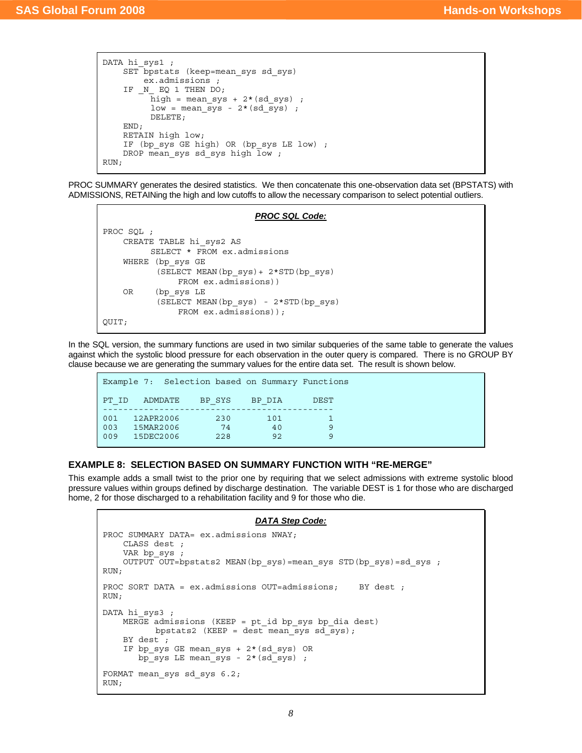```
DATA hi sys1 ;
     SET bpstats (keep=mean_sys sd_sys) 
          ex.admissions ; 
     IF _N_ EQ 1 THEN DO; 
          \bar{h}igh = mean_sys + 2*(sd_sys) ;
          low = mean sys - 2*(sd sys) ;
           DELETE; 
     END; 
     RETAIN high low; 
    IF (bp sys GE high) OR (bp sys LE low) ;
    DROP mean_sys sd_sys high \overline{low};
RUN;
```
PROC SUMMARY generates the desired statistics. We then concatenate this one-observation data set (BPSTATS) with ADMISSIONS, RETAINing the high and low cutoffs to allow the necessary comparison to select potential outliers.

#### *PROC SQL Code:*

```
PROC SQL ; 
     CREATE TABLE hi_sys2 AS 
           SELECT * FROM ex.admissions 
     WHERE (bp_sys GE 
            (SELECT MEAN(bp_sys)+ 2*STD(bp_sys) 
                FROM ex.admissions)) 
     OR (bp_sys LE 
            (SELECT MEAN(bp_sys) - 2*STD(bp_sys) 
                FROM ex.admissions)); 
QUIT;
```
In the SQL version, the summary functions are used in two similar subqueries of the same table to generate the values against which the systolic blood pressure for each observation in the outer query is compared. There is no GROUP BY clause because we are generating the summary values for the entire data set. The result is shown below.

```
Example 7: Selection based on Summary Functions 
PT_ID ADMDATE BP_SYS BP_DIA DEST 
--------------------------------------------- 
001 12APR2006 230 101 1
003 15MAR2006 74 40 9
009 15DEC2006 228 92 92
```
# **EXAMPLE 8: SELECTION BASED ON SUMMARY FUNCTION WITH "RE-MERGE"**

This example adds a small twist to the prior one by requiring that we select admissions with extreme systolic blood pressure values within groups defined by discharge destination. The variable DEST is 1 for those who are discharged home, 2 for those discharged to a rehabilitation facility and 9 for those who die.

#### *DATA Step Code:*

```
PROC SUMMARY DATA= ex.admissions NWAY;
     CLASS dest ; 
    VAR bp sys ;
     OUTPUT OUT=bpstats2 MEAN(bp_sys)=mean_sys STD(bp_sys)=sd_sys ; 
RUN; 
PROC SORT DATA = ex.admissions OUT=admissions; BY dest;
RUN; 
DATA hi sys3 ;
    MER\overline{GE} admissions (KEEP = pt id bp sys bp dia dest)
          bpstats2 (KEEP = dest mean sys sd sys);
     BY dest ; 
     IF bp_sys GE mean_sys + 2*(sd_sys) OR 
       bp sys LE mean sys - 2*(sd\over sys);
FORMAT mean_sys sd_sys 6.2; 
RUN;
```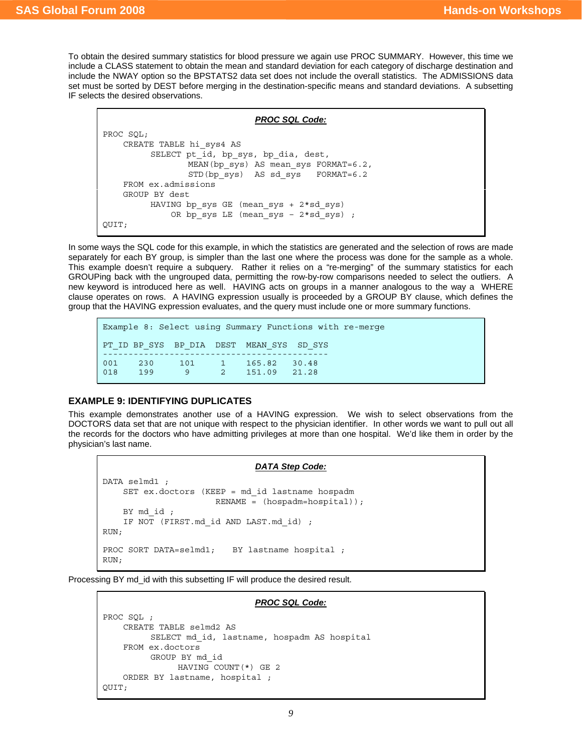To obtain the desired summary statistics for blood pressure we again use PROC SUMMARY. However, this time we include a CLASS statement to obtain the mean and standard deviation for each category of discharge destination and include the NWAY option so the BPSTATS2 data set does not include the overall statistics. The ADMISSIONS data set must be sorted by DEST before merging in the destination-specific means and standard deviations. A subsetting IF selects the desired observations.

```
PROC SQL Code:
PROC SQL; 
     CREATE TABLE hi_sys4 AS 
         SELECT pt id, bp sys, bp dia, dest,
                 MEAN(bp sys) AS mean sys FORMAT=6.2,
                  STD(bp \text{ sys}) AS sd sys FORMAT=6.2
     FROM ex.admissions 
     GROUP BY dest 
          HAVING bp_sys GE (mean_sys + 2*sd_sys) 
               OR bp_sys LE (mean_sys – 2*sd_sys) ; 
QUIT;
```
In some ways the SQL code for this example, in which the statistics are generated and the selection of rows are made separately for each BY group, is simpler than the last one where the process was done for the sample as a whole. This example doesn't require a subquery. Rather it relies on a "re-merging" of the summary statistics for each GROUPing back with the ungrouped data, permitting the row-by-row comparisons needed to select the outliers. A new keyword is introduced here as well. HAVING acts on groups in a manner analogous to the way a WHERE clause operates on rows. A HAVING expression usually is proceeded by a GROUP BY clause, which defines the group that the HAVING expression evaluates, and the query must include one or more summary functions.

```
Example 8: Select using Summary Functions with re-merge 
PT_ID BP_SYS BP_DIA DEST MEAN_SYS SD_SYS 
-------------------------------------------- 
001 230 101 1 165.82 30.48 
              9 2 151.09 21.28
```
## **EXAMPLE 9: IDENTIFYING DUPLICATES**

DATA selmd1 ;

This example demonstrates another use of a HAVING expression. We wish to select observations from the DOCTORS data set that are not unique with respect to the physician identifier. In other words we want to pull out all the records for the doctors who have admitting privileges at more than one hospital. We'd like them in order by the physician's last name.

```
DATA Step Code:
```

```
 SET ex.doctors (KEEP = md_id lastname hospadm 
                        RENAME = (hospadm=hospital)); 
    BY md id ;
     IF NOT (FIRST.md_id AND LAST.md_id) ; 
RUN; 
PROC SORT DATA=selmd1; BY lastname hospital ;
RUN;
```
Processing BY md\_id with this subsetting IF will produce the desired result.

#### *PROC SQL Code:*

```
PROC SQL ; 
     CREATE TABLE selmd2 AS 
           SELECT md_id, lastname, hospadm AS hospital 
     FROM ex.doctors 
           GROUP BY md_id 
                HAVING COUNT(*) GE 2 
     ORDER BY lastname, hospital ; 
QUIT;
```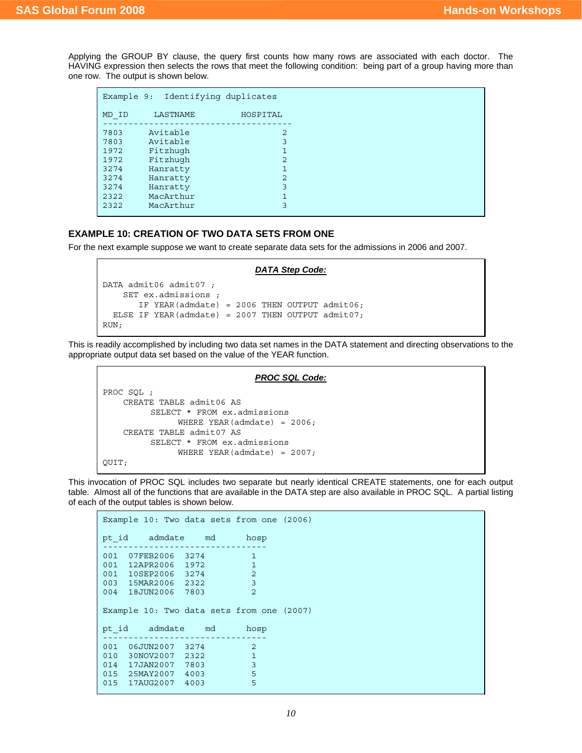Applying the GROUP BY clause, the query first counts how many rows are associated with each doctor. The HAVING expression then selects the rows that meet the following condition: being part of a group having more than one row. The output is shown below.

| Example 9: |           | Identifying duplicates |
|------------|-----------|------------------------|
| MD ID      | LASTNAME  | HOSPITAL               |
| 7803       | Avitable  | 2                      |
| 7803       | Avitable  | 3                      |
| 1972       | Fitzhugh  | 1                      |
| 1972       | Fitzhugh  | 2                      |
| 3274       | Hanratty  | 1                      |
| 3274       | Hanratty  | 2                      |
| 3274       | Hanratty  | 3                      |
| 2322       | MacArthur | $\mathbf{1}$           |
| 2322       | MacArthur | 3                      |
|            |           |                        |

## **EXAMPLE 10: CREATION OF TWO DATA SETS FROM ONE**

For the next example suppose we want to create separate data sets for the admissions in 2006 and 2007.

```
DATA Step Code:
DATA admit06 admit07 ; 
    SET ex.admissions ; 
       IF YEAR(admdate) = 2006 THEN OUTPUT admit06; 
  ELSE IF YEAR(admdate) = 2007 THEN OUTPUT admit07;
RUN;
```
This is readily accomplished by including two data set names in the DATA statement and directing observations to the appropriate output data set based on the value of the YEAR function.

```
PROC SQL Code:
PROC SQL ; 
     CREATE TABLE admit06 AS 
         SELECT * FROM ex.admissions 
              WHERE YEAR (admdate) = 2006; CREATE TABLE admit07 AS 
          SELECT * FROM ex.admissions 
               WHERE YEAR(admdate) = 2007;
QUIT;
```
This invocation of PROC SQL includes two separate but nearly identical CREATE statements, one for each output table. Almost all of the functions that are available in the DATA step are also available in PROC SQL. A partial listing of each of the output tables is shown below.

```
Example 10: Two data sets from one (2006) 
pt_id admdate md hosp 
-------------------------------- 
001 07FEB2006 3274 1
001 12APR2006 1972 1 
001 10SEP2006 3274 2<br>003 15MAR2006 2322 3
003 15MAR2006 2322 3
004 18JUN2006 7803 2 
Example 10: Two data sets from one (2007) 
pt_id admdate md hosp 
-------------------------------- 
001 06JUN2007 3274 2
010 30NOV2007 2322 1
014 17JAN2007 7803 3<br>015 25MAY2007 4003 5
015 25MAY2007 4003 5 
015  17AUG2007  4003  5
```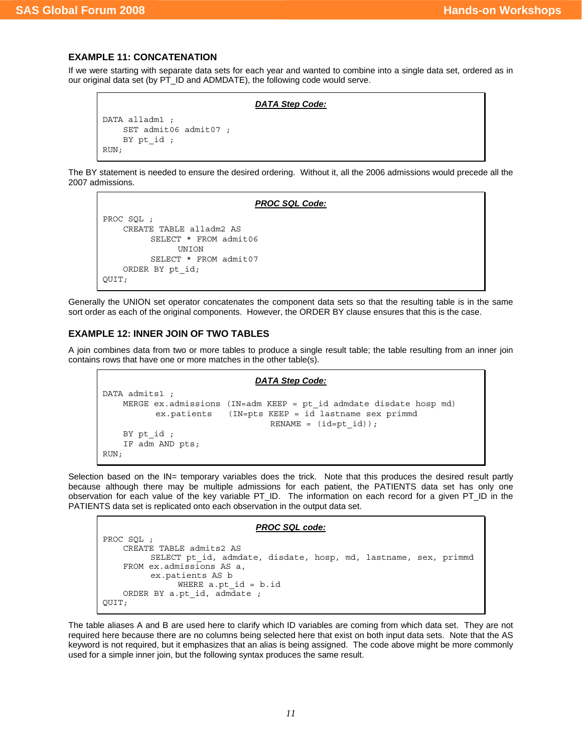## **EXAMPLE 11: CONCATENATION**

If we were starting with separate data sets for each year and wanted to combine into a single data set, ordered as in our original data set (by PT\_ID and ADMDATE), the following code would serve.

```
DATA Step Code:
```

```
DATA alladm1 ; 
     SET admit06 admit07 ; 
     BY pt_id ; 
RUN;
```
The BY statement is needed to ensure the desired ordering. Without it, all the 2006 admissions would precede all the 2007 admissions.

#### *PROC SQL Code:*

```
PROC SQL ; 
     CREATE TABLE alladm2 AS 
           SELECT * FROM admit06 
                 UNION 
           SELECT * FROM admit07 
     ORDER BY pt_id; 
QUIT;
```
Generally the UNION set operator concatenates the component data sets so that the resulting table is in the same sort order as each of the original components. However, the ORDER BY clause ensures that this is the case.

## **EXAMPLE 12: INNER JOIN OF TWO TABLES**

A join combines data from two or more tables to produce a single result table; the table resulting from an inner join contains rows that have one or more matches in the other table(s).

```
DATA Step Code:
DATA admits1 ;
     MERGE ex.admissions (IN=adm KEEP = pt_id admdate disdate hosp md) 
           ex.patients (IN=pts KEEP = id lastname sex primmd 
                                 RENAME = (id=pt_id));
    BY pt id ;
     IF adm AND pts; 
RUN;
```
Selection based on the IN= temporary variables does the trick. Note that this produces the desired result partly because although there may be multiple admissions for each patient, the PATIENTS data set has only one observation for each value of the key variable PT\_ID. The information on each record for a given PT\_ID in the PATIENTS data set is replicated onto each observation in the output data set.

#### *PROC SQL code:*

```
PROC SQL ; 
     CREATE TABLE admits2 AS 
         SELECT pt id, admdate, disdate, hosp, md, lastname, sex, primmd
     FROM ex.admissions AS a, 
          ex.patients AS b 
               WHERE a.pt id = b.id ORDER BY a.pt_id, admdate ; 
QUIT;
```
The table aliases A and B are used here to clarify which ID variables are coming from which data set. They are not required here because there are no columns being selected here that exist on both input data sets. Note that the AS keyword is not required, but it emphasizes that an alias is being assigned. The code above might be more commonly used for a simple inner join, but the following syntax produces the same result.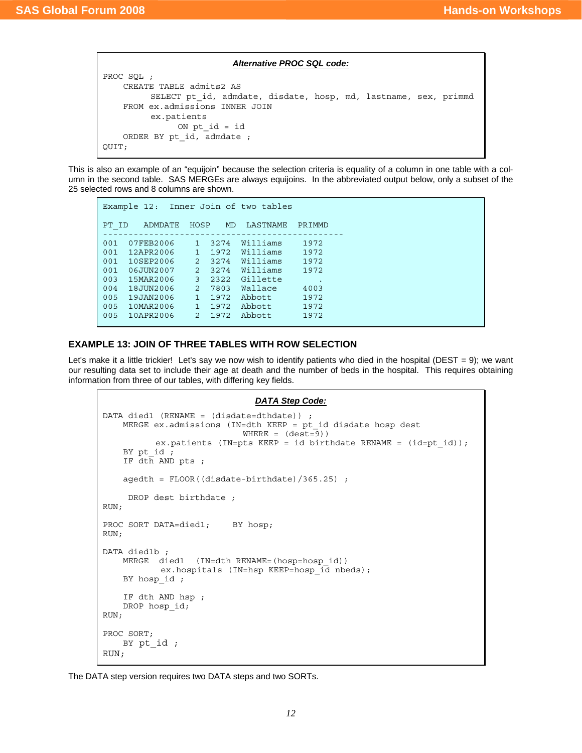#### *Alternative PROC SQL code:*

```
PROC SQL ; 
     CREATE TABLE admits2 AS 
         SELECT pt id, admdate, disdate, hosp, md, lastname, sex, primmd
     FROM ex.admissions INNER JOIN 
          ex.patients 
               ON pt id = id ORDER BY pt_id, admdate ; 
QUIT;
```
This is also an example of an "equijoin" because the selection criteria is equality of a column in one table with a column in the second table. SAS MERGEs are always equijoins. In the abbreviated output below, only a subset of the 25 selected rows and 8 columns are shown.

```
Example 12: Inner Join of two tables 
PT_ID ADMDATE HOSP MD LASTNAME PRIMMD
----------------------------------------------- 
001 07FEB2006 1 3274 Williams 1972 
001 12APR2006 1 1972 Williams 1972 
001 10SEP2006 2 3274 Williams 1972 
001 06JUN2007 2 3274 Williams 1972 
003 15MAR2006 3 2322 Gillette . 
004 18JUN2006 2 7803 Wallace 4003 
005 19JAN2006 1 1972 Abbott 1972 
005 10MAR2006 1 1972 Abbott 1972 
005 10APR2006 2 1972 Abbott 1972
```
## **EXAMPLE 13: JOIN OF THREE TABLES WITH ROW SELECTION**

Let's make it a little trickier! Let's say we now wish to identify patients who died in the hospital (DEST = 9); we want our resulting data set to include their age at death and the number of beds in the hospital. This requires obtaining information from three of our tables, with differing key fields.

```
DATA Step Code:
DATA died1 (RENAME = (disdate=dthdate)) ; 
     MERGE ex.admissions (IN=dth KEEP = pt_id disdate hosp dest 
                             WHERE = (dest=9))
            ex.patients (IN=pts KEEP = id birthdate RENAME = (id=pt_id)); 
     BY pt_id ; 
    IF dth AND pts : agedth = FLOOR((disdate-birthdate)/365.25) ; 
      DROP dest birthdate ; 
RUN; 
PROC SORT DATA=died1; BY hosp;
RUN; 
DATA died1b
     MERGE died1 (IN=dth RENAME=(hosp=hosp_id)) 
            ex.hospitals (IN=hsp KEEP=hosp id nbeds);
     BY hosp_id ; 
     IF dth AND hsp ; 
    DROP hosp id;
RUN; 
PROC SORT; 
     BY pt_id ; 
RUN;
```
The DATA step version requires two DATA steps and two SORTs.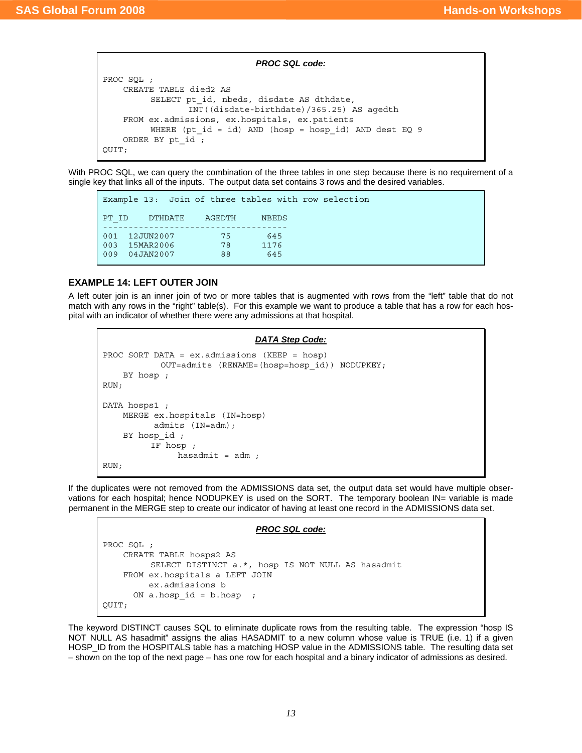*PROC SQL code:*

```
PROC SQL ; 
     CREATE TABLE died2 AS 
         SELECT pt id, nbeds, disdate AS dthdate,
                  INT((disdate-birthdate)/365.25) AS agedth 
     FROM ex.admissions, ex.hospitals, ex.patients 
         WHERE (pt id = id) AND (hosp = hosp id) AND dest EQ 9
    ORDER BY pt id ;
QUIT;
```
With PROC SQL, we can query the combination of the three tables in one step because there is no requirement of a single key that links all of the inputs. The output data set contains 3 rows and the desired variables.

```
Example 13: Join of three tables with row selection 
PT_ID DTHDATE AGEDTH NBEDS
------------------------------------ 
001 12JUN2007 75 645
003 15MAR2006 78 1176 
009 04JAN2007 88 645
```
# **EXAMPLE 14: LEFT OUTER JOIN**

A left outer join is an inner join of two or more tables that is augmented with rows from the "left" table that do not match with any rows in the "right" table(s). For this example we want to produce a table that has a row for each hospital with an indicator of whether there were any admissions at that hospital.

```
DATA Step Code:
PROC SORT DATA = ex.admissions (KEEP = hosp) 
             OUT=admits (RENAME=(hosp=hosp_id)) NODUPKEY; 
     BY hosp ; 
RUN; 
DATA hosps1 ; 
     MERGE ex.hospitals (IN=hosp) 
            admits (IN=adm); 
    BY hosp id ;
           IF hosp ; 
                 hasadmit = adm ; 
RUN;
```
If the duplicates were not removed from the ADMISSIONS data set, the output data set would have multiple observations for each hospital; hence NODUPKEY is used on the SORT. The temporary boolean IN= variable is made permanent in the MERGE step to create our indicator of having at least one record in the ADMISSIONS data set.

#### *PROC SQL code:*

```
PROC SQL ; 
     CREATE TABLE hosps2 AS 
          SELECT DISTINCT a.*, hosp IS NOT NULL AS hasadmit 
     FROM ex.hospitals a LEFT JOIN 
          ex.admissions b 
      ON a.hosp id = b.hosp ;
QUIT;
```
The keyword DISTINCT causes SQL to eliminate duplicate rows from the resulting table. The expression "hosp IS NOT NULL AS hasadmit" assigns the alias HASADMIT to a new column whose value is TRUE (i.e. 1) if a given HOSP ID from the HOSPITALS table has a matching HOSP value in the ADMISSIONS table. The resulting data set – shown on the top of the next page – has one row for each hospital and a binary indicator of admissions as desired.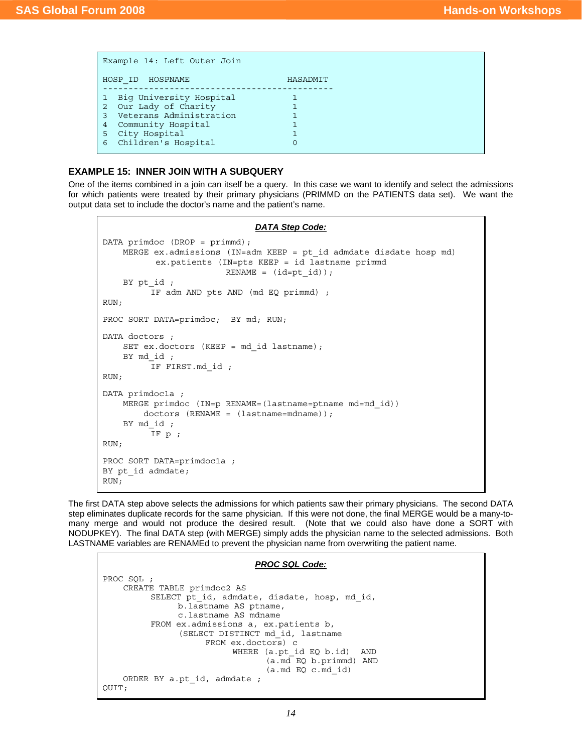| Example 14: Left Outer Join           |          |
|---------------------------------------|----------|
| HOSP ID HOSPNAME                      | HASADMIT |
| Big University Hospital               |          |
| Our Lady of Charity<br>$\overline{2}$ |          |
| Veterans Administration               |          |
| Community Hospital<br>4               |          |
| City Hospital<br>5                    |          |
| Children's Hospital<br>6              |          |
|                                       |          |

## **EXAMPLE 15: INNER JOIN WITH A SUBQUERY**

One of the items combined in a join can itself be a query. In this case we want to identify and select the admissions for which patients were treated by their primary physicians (PRIMMD on the PATIENTS data set). We want the output data set to include the doctor's name and the patient's name.

```
DATA Step Code:
DATA primdoc (DROP = primmd); 
     MERGE ex.admissions (IN=adm KEEP = pt_id admdate disdate hosp md) 
            ex.patients (IN=pts KEEP = id lastname primmd 
                         RENAME = (id=pt_id));
     BY pt_id ; 
           IF adm AND pts AND (md EQ primmd) ; 
RUN; 
PROC SORT DATA=primdoc; BY md; RUN;
DATA doctors ; 
    SET ex.doctors (KEEP = md id lastname);
     BY md_id ; 
           IF FIRST.md_id ; 
RUN; 
DATA primdoc1a ; 
     MERGE primdoc (IN=p RENAME=(lastname=ptname md=md_id)) 
         doctors (RENAME = (lastname=mdname)); 
    BY md id ;
           IF p ; 
RUN; 
PROC SORT DATA=primdoc1a ; 
BY pt id admdate;
RUN;
```
The first DATA step above selects the admissions for which patients saw their primary physicians. The second DATA step eliminates duplicate records for the same physician. If this were not done, the final MERGE would be a many-tomany merge and would not produce the desired result. (Note that we could also have done a SORT with NODUPKEY). The final DATA step (with MERGE) simply adds the physician name to the selected admissions. Both LASTNAME variables are RENAMEd to prevent the physician name from overwriting the patient name.

#### *PROC SQL Code:*

```
PROC SQL ; 
     CREATE TABLE primdoc2 AS 
          SELECT pt id, admdate, disdate, hosp, md id,
                b.lastname AS ptname, 
                c.lastname AS mdname 
          FROM ex.admissions a, ex.patients b, 
                 (SELECT DISTINCT md_id, lastname 
                      FROM ex.doctors) c 
                           WHERE (a.pt id EQ b.id) AND
                                   (a.md EQ b.primmd) AND 
                                   (a.md EQ c.md_id) 
     ORDER BY a.pt_id, admdate ; 
QUIT;
```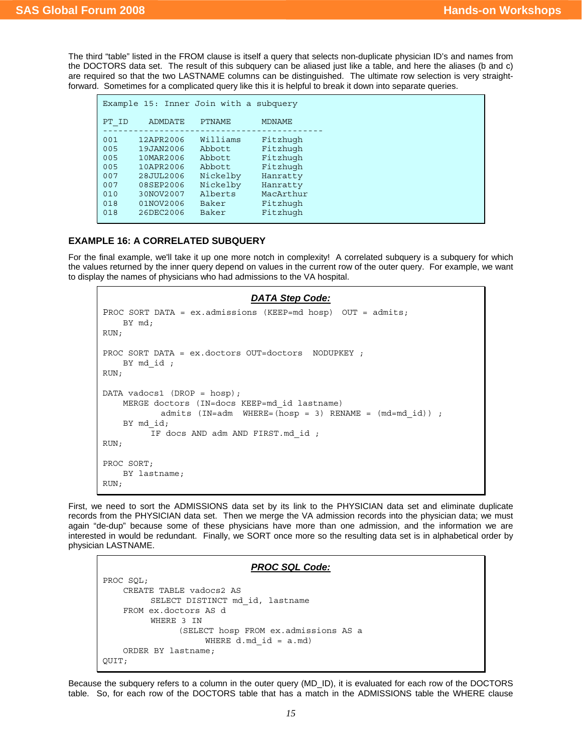The third "table" listed in the FROM clause is itself a query that selects non-duplicate physician ID's and names from the DOCTORS data set. The result of this subquery can be aliased just like a table, and here the aliases (b and c) are required so that the two LASTNAME columns can be distinguished. The ultimate row selection is very straightforward. Sometimes for a complicated query like this it is helpful to break it down into separate queries.

| Example 15: Inner Join with a subquery |                |               |               |  |  |  |  |
|----------------------------------------|----------------|---------------|---------------|--|--|--|--|
| PT ID                                  | <b>ADMDATE</b> | <b>PTNAME</b> | <b>MDNAME</b> |  |  |  |  |
| 001                                    | 12APR2006      | Williams      | Fitzhugh      |  |  |  |  |
| 005                                    | 19JAN2006      | Abbott        | Fitzhugh      |  |  |  |  |
| 005                                    | 10MAR2006      | Abbott        | Fitzhugh      |  |  |  |  |
| 005                                    | 10APR2006      | Abbott        | Fitzhugh      |  |  |  |  |
| 007                                    | 28JUL2006      | Nickelby      | Hanratty      |  |  |  |  |
| 007                                    | 08SEP2006      | Nickelby      | Hanratty      |  |  |  |  |
| 010                                    | 30NOV2007      | Alberts       | MacArthur     |  |  |  |  |
| 018                                    | 01NOV2006      | Baker         | Fitzhugh      |  |  |  |  |
| 018                                    | 26DEC2006      | Baker         | Fitzhugh      |  |  |  |  |

## **EXAMPLE 16: A CORRELATED SUBQUERY**

For the final example, we'll take it up one more notch in complexity! A correlated subquery is a subquery for which the values returned by the inner query depend on values in the current row of the outer query. For example, we want to display the names of physicians who had admissions to the VA hospital.

```
DATA Step Code:
PROC SORT DATA = ex.admissions (KEEP=md hosp) OUT = admits; 
     BY md; 
RUN; 
PROC SORT DATA = ex.doctors OUT=doctors NODUPKEY ; 
    BY md id ;
RUN; 
DATA vadocs1 (DROP = hosp); 
     MERGE doctors (IN=docs KEEP=md_id lastname) 
            admits (IN=adm \quad WHERE=(hosp = 3) \quad REMAME = (md=mdid)) ;
     BY md_id; 
           IF docs AND adm AND FIRST.md_id ; 
RUN; 
PROC SORT; 
    BY lastname; 
RUN;
```
First, we need to sort the ADMISSIONS data set by its link to the PHYSICIAN data set and eliminate duplicate records from the PHYSICIAN data set. Then we merge the VA admission records into the physician data; we must again "de-dup" because some of these physicians have more than one admission, and the information we are interested in would be redundant. Finally, we SORT once more so the resulting data set is in alphabetical order by physician LASTNAME.

# *PROC SQL Code:*

```
PROC SQL; 
     CREATE TABLE vadocs2 AS 
          SELECT DISTINCT md_id, lastname 
     FROM ex.doctors AS d 
           WHERE 3 IN 
                 (SELECT hosp FROM ex.admissions AS a 
                     WHERE d.md id = a.md)
     ORDER BY lastname; 
QUIT;
```
Because the subquery refers to a column in the outer query (MD\_ID), it is evaluated for each row of the DOCTORS table. So, for each row of the DOCTORS table that has a match in the ADMISSIONS table the WHERE clause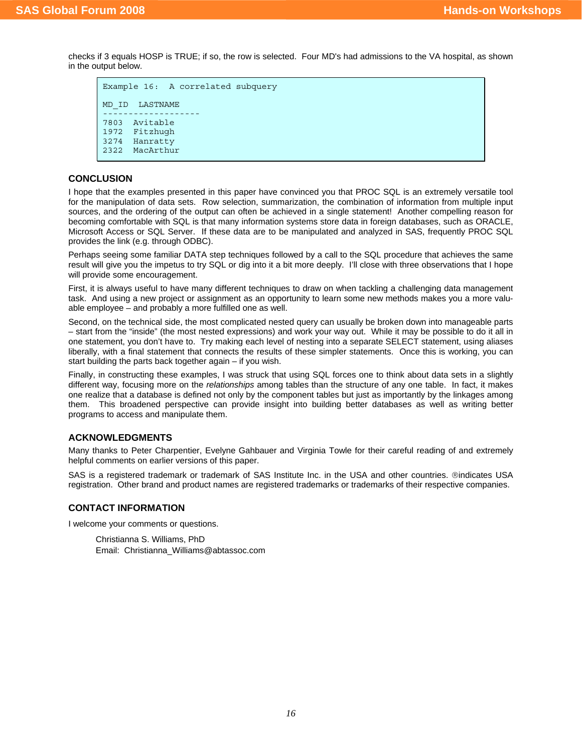checks if 3 equals HOSP is TRUE; if so, the row is selected. Four MD's had admissions to the VA hospital, as shown in the output below.

```
Example 16: A correlated subquery 
MD_ID LASTNAME 
------------------- 
7803 Avitable 
1972 Fitzhugh<br>3274 Hanratty
      Hanratty
2322 MacArthur
```
## **CONCLUSION**

I hope that the examples presented in this paper have convinced you that PROC SQL is an extremely versatile tool for the manipulation of data sets. Row selection, summarization, the combination of information from multiple input sources, and the ordering of the output can often be achieved in a single statement! Another compelling reason for becoming comfortable with SQL is that many information systems store data in foreign databases, such as ORACLE, Microsoft Access or SQL Server. If these data are to be manipulated and analyzed in SAS, frequently PROC SQL provides the link (e.g. through ODBC).

Perhaps seeing some familiar DATA step techniques followed by a call to the SQL procedure that achieves the same result will give you the impetus to try SQL or dig into it a bit more deeply. I'll close with three observations that I hope will provide some encouragement.

First, it is always useful to have many different techniques to draw on when tackling a challenging data management task. And using a new project or assignment as an opportunity to learn some new methods makes you a more valuable employee – and probably a more fulfilled one as well.

Second, on the technical side, the most complicated nested query can usually be broken down into manageable parts – start from the "inside" (the most nested expressions) and work your way out. While it may be possible to do it all in one statement, you don't have to. Try making each level of nesting into a separate SELECT statement, using aliases liberally, with a final statement that connects the results of these simpler statements. Once this is working, you can start building the parts back together again – if you wish.

Finally, in constructing these examples, I was struck that using SQL forces one to think about data sets in a slightly different way, focusing more on the *relationships* among tables than the structure of any one table. In fact, it makes one realize that a database is defined not only by the component tables but just as importantly by the linkages among them. This broadened perspective can provide insight into building better databases as well as writing better programs to access and manipulate them.

# **ACKNOWLEDGMENTS**

Many thanks to Peter Charpentier, Evelyne Gahbauer and Virginia Towle for their careful reading of and extremely helpful comments on earlier versions of this paper.

SAS is a registered trademark or trademark of SAS Institute Inc. in the USA and other countries. ®indicates USA registration. Other brand and product names are registered trademarks or trademarks of their respective companies.

## **CONTACT INFORMATION**

I welcome your comments or questions.

 Christianna S. Williams, PhD Email: Christianna\_Williams@abtassoc.com